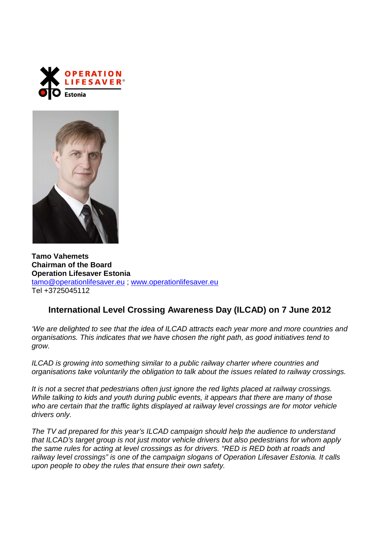



**Tamo Vahemets Chairman of the Board Operation Lifesaver Estonia**  tamo@operationlifesaver.eu ; www.operationlifesaver.eu Tel +3725045112

## **International Level Crossing Awareness Day (ILCAD) on 7 June 2012**

'We are delighted to see that the idea of ILCAD attracts each year more and more countries and organisations. This indicates that we have chosen the right path, as good initiatives tend to grow.

ILCAD is growing into something similar to a public railway charter where countries and organisations take voluntarily the obligation to talk about the issues related to railway crossings.

It is not a secret that pedestrians often just ignore the red lights placed at railway crossings. While talking to kids and youth during public events, it appears that there are many of those who are certain that the traffic lights displayed at railway level crossings are for motor vehicle drivers only.

The TV ad prepared for this year's ILCAD campaign should help the audience to understand that ILCAD's target group is not just motor vehicle drivers but also pedestrians for whom apply the same rules for acting at level crossings as for drivers. "RED is RED both at roads and railway level crossings" is one of the campaign slogans of Operation Lifesaver Estonia. It calls upon people to obey the rules that ensure their own safety.